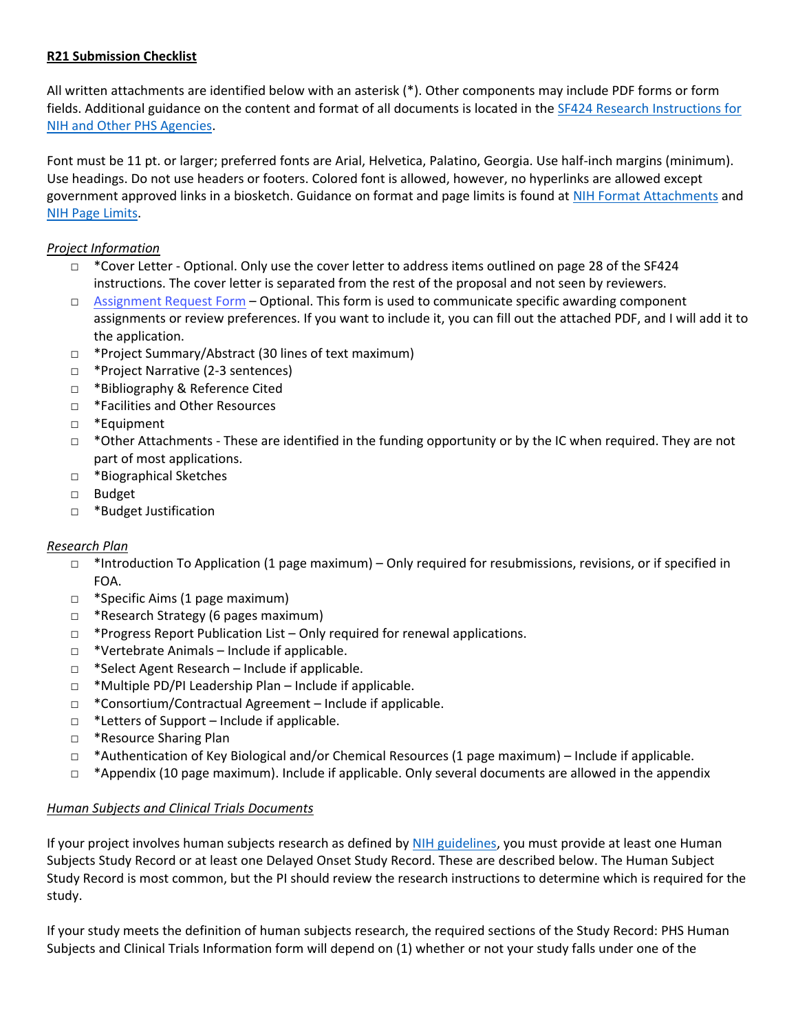## **R21 Submission Checklist**

All written attachments are identified below with an asterisk (\*). Other components may include PDF forms or form fields. Additional guidance on the content and format of all documents is located in the [SF424 Research Instructions for](https://grants.nih.gov/grants/how-to-apply-application-guide/forms-f/research-forms-f.pdf)  [NIH and Other PHS Agencies.](https://grants.nih.gov/grants/how-to-apply-application-guide/forms-f/research-forms-f.pdf)

Font must be 11 pt. or larger; preferred fonts are Arial, Helvetica, Palatino, Georgia. Use half-inch margins (minimum). Use headings. Do not use headers or footers. Colored font is allowed, however, no hyperlinks are allowed except government approved links in a biosketch. Guidance on format and page limits is found at [NIH Format Attachments](https://grants.nih.gov/grants/how-to-apply-application-guide/format-and-write/format-attachments.htm#papersizeandmargins) and [NIH Page Limits.](https://grants.nih.gov/grants/how-to-apply-application-guide/format-and-write/page-limits.htm)

## *Project Information*

- $\Box$  \*Cover Letter Optional. Only use the cover letter to address items outlined on page 28 of the SF424 instructions. The cover letter is separated from the rest of the proposal and not seen by reviewers.
- □ Assignment Request Form Optional. This form is used to communicate specific awarding component assignments or review preferences. If you want to include it, you can fill out the attached PDF, and I will add it to the application.
- □ \*Project Summary/Abstract (30 lines of text maximum)
- □ \*Project Narrative (2-3 sentences)
- □ \*Bibliography & Reference Cited
- □ \*Facilities and Other Resources
- □ \*Equipment
- □ \*Other Attachments These are identified in the funding opportunity or by the IC when required. They are not part of most applications.
- □ \*Biographical Sketches
- □ Budget
- □ \*Budget Justification

# *Research Plan*

- □ \*Introduction To Application (1 page maximum) Only required for resubmissions, revisions, or if specified in FOA.
- □ \*Specific Aims (1 page maximum)
- □ \*Research Strategy (6 pages maximum)
- $\Box$  \*Progress Report Publication List Only required for renewal applications.
- $\Box$  \*Vertebrate Animals Include if applicable.
- □ \*Select Agent Research Include if applicable.
- $\Box$  \*Multiple PD/PI Leadership Plan Include if applicable.
- □ \*Consortium/Contractual Agreement Include if applicable.
- $\Box$  \*Letters of Support Include if applicable.
- □ \*Resource Sharing Plan
- $\Box$  \*Authentication of Key Biological and/or Chemical Resources (1 page maximum) Include if applicable.
- $\Box$  \*Appendix (10 page maximum). Include if applicable. Only several documents are allowed in the appendix

### *Human Subjects and Clinical Trials Documents*

If your project involves human subjects research as defined b[y NIH guidelines,](https://grants.nih.gov/policy/humansubjects/research.htm) you must provide at least one Human Subjects Study Record or at least one Delayed Onset Study Record. These are described below. The Human Subject Study Record is most common, but the PI should review the research instructions to determine which is required for the study.

If your study meets the definition of human subjects research, the required sections of the Study Record: PHS Human Subjects and Clinical Trials Information form will depend on (1) whether or not your study falls under one of the